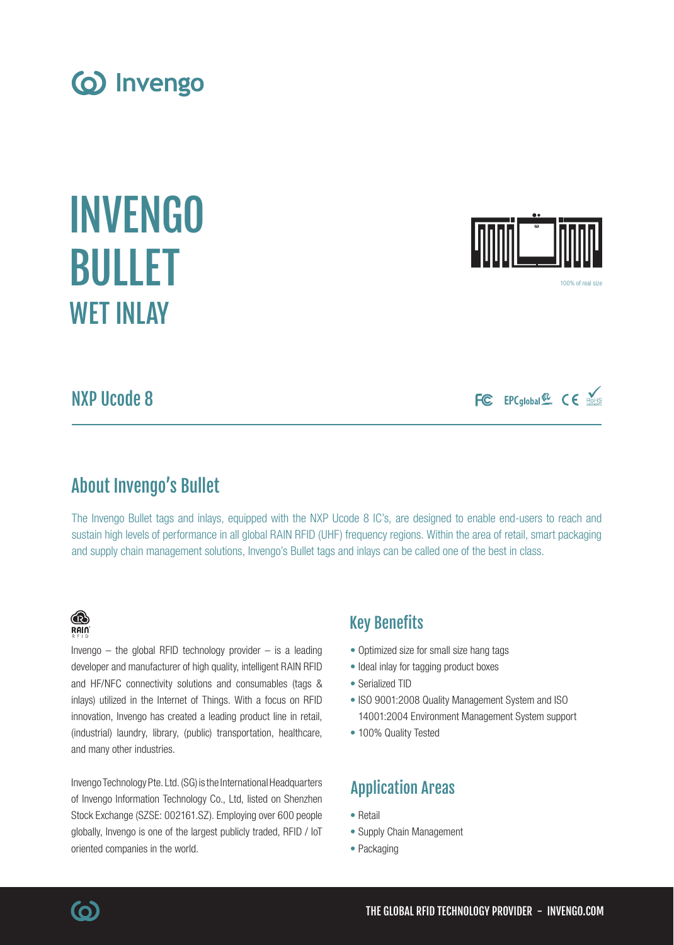NXP Ucode 8

# About Invengo's Bullet

The Invengo Bullet tags and inlays, equipped with the NXP Ucode 8 IC's, are designed to enable end-users to reach and sustain high levels of performance in all global RAIN RFID (UHF) frequency regions. Within the area of retail, smart packaging and supply chain management solutions, Invengo's Bullet tags and inlays can be called one of the best in class.

# Key Benefits

- Optimized size for small size hang tags
- Ideal inlay for tagging product boxes
- Serialized TID
- ISO 9001:2008 Quality Management System and ISO 14001:2004 Environment Management System support
- 100% Quality Tested

# Application Areas

- Retail
- Supply Chain Management
- Packaging

# (industrial) laundry, library, (public) transportation, healthcare, and many other industries. Invengo Technology Pte. Ltd. (SG) is the International Headquarters

of Invengo Information Technology Co., Ltd, listed on Shenzhen Stock Exchange (SZSE: 002161.SZ). Employing over 600 people globally, Invengo is one of the largest publicly traded, RFID / IoT oriented companies in the world.

developer and manufacturer of high quality, intelligent RAIN RFID and HF/NFC connectivity solutions and consumables (tags & inlays) utilized in the Internet of Things. With a focus on RFID innovation, Invengo has created a leading product line in retail,

FC EPCglobal & CE ROHIS

100% of real size



INVENGO

BULLET

**WFT INI AY** 



**(O)**